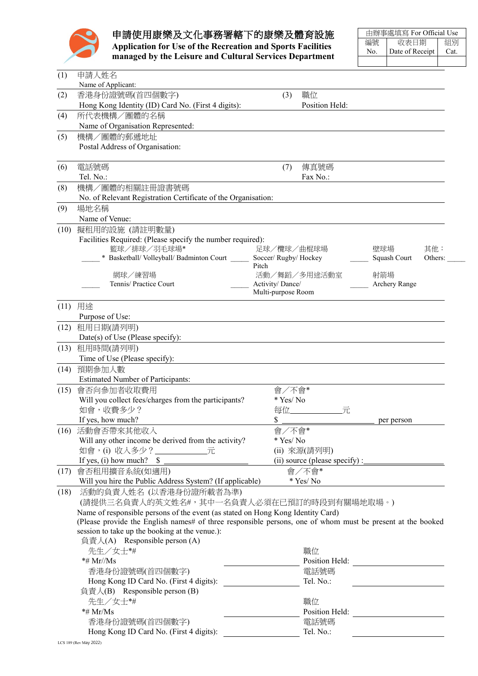

## 申請使用康樂及文化事務署轄下的康樂及體育設施

**Application for Use of the Recreation and Sports Facilities managed by the Leisure and Cultural Services Department**

|     | 由辦事處填寫 For Official Use |      |  |  |  |
|-----|-------------------------|------|--|--|--|
| 編號  | 收表日期                    | 組別   |  |  |  |
| No. | Date of Receipt         | Cat. |  |  |  |
|     |                         |      |  |  |  |

| (1)  | 申請人姓名                                                                                                      |                    |                     |               |         |
|------|------------------------------------------------------------------------------------------------------------|--------------------|---------------------|---------------|---------|
|      | Name of Applicant:                                                                                         |                    |                     |               |         |
| (2)  | 香港身份證號碼(首四個數字)                                                                                             | (3)                | 職位                  |               |         |
|      | Hong Kong Identity (ID) Card No. (First 4 digits):                                                         |                    | Position Held:      |               |         |
| (4)  | 所代表機構/團體的名稱                                                                                                |                    |                     |               |         |
|      | Name of Organisation Represented:                                                                          |                    |                     |               |         |
| (5)  | 機構/團體的郵遞地址                                                                                                 |                    |                     |               |         |
|      | Postal Address of Organisation:                                                                            |                    |                     |               |         |
|      |                                                                                                            |                    |                     |               |         |
| (6)  | 電話號碼                                                                                                       | (7)                | 傳真號碼                |               |         |
|      | Tel. No.:                                                                                                  |                    | Fax No.:            |               |         |
|      |                                                                                                            |                    |                     |               |         |
| (8)  | 機構/團體的相關註冊證書號碼                                                                                             |                    |                     |               |         |
|      | No. of Relevant Registration Certificate of the Organisation:                                              |                    |                     |               |         |
| (9)  | 場地名稱                                                                                                       |                    |                     |               |         |
|      | Name of Venue:                                                                                             |                    |                     |               |         |
| (10) | 擬租用的設施 (請註明數量)                                                                                             |                    |                     |               |         |
|      | Facilities Required: (Please specify the number required):                                                 |                    |                     |               |         |
|      | 籃球/排球/羽毛球場*                                                                                                | 足球/欖球/曲棍球場         |                     | 壁球場           | 其他:     |
|      | * Basketball/Volleyball/Badminton Court _______ Soccer/Rugby/Hockey                                        |                    |                     | Squash Court  | Others: |
|      | 網球/練習場                                                                                                     | Pitch              | 活動/舞蹈/多用途活動室        | 射箭場           |         |
|      | Tennis/ Practice Court                                                                                     | Activity/Dance/    |                     | Archery Range |         |
|      |                                                                                                            | Multi-purpose Room |                     |               |         |
|      |                                                                                                            |                    |                     |               |         |
| (11) | 用途                                                                                                         |                    |                     |               |         |
|      | Purpose of Use:                                                                                            |                    |                     |               |         |
| (12) | 租用日期(請列明)                                                                                                  |                    |                     |               |         |
|      | Date(s) of Use (Please specify):                                                                           |                    |                     |               |         |
| (13) | 租用時間(請列明)                                                                                                  |                    |                     |               |         |
|      | Time of Use (Please specify):                                                                              |                    |                     |               |         |
|      | (14) 預期參加人數                                                                                                |                    |                     |               |         |
|      | <b>Estimated Number of Participants:</b>                                                                   |                    |                     |               |         |
| (15) | 會否向參加者收取費用                                                                                                 | 會/不會*              |                     |               |         |
|      | Will you collect fees/charges from the participants?                                                       | * Yes/No           |                     |               |         |
|      | 如會,收費多少?                                                                                                   |                    | 每位____________<br>元 |               |         |
|      | If yes, how much?                                                                                          | \$                 |                     | per person    |         |
|      | (16) 活動會否帶來其他收入                                                                                            | 會/不會*              |                     |               |         |
|      | Will any other income be derived from the activity?                                                        | * Yes/No           |                     |               |         |
|      | 如會,(i) 收入多少?_______________元                                                                               |                    | (ii) 來源(請列明)        |               |         |
|      | If yes, (i) how much? $$$                                                                                  |                    |                     |               |         |
| (17) | 會否租用擴音系統(如適用)                                                                                              |                    | 會/不會*               |               |         |
|      | Will you hire the Public Address System? (If applicable)                                                   |                    | * Yes/No            |               |         |
|      |                                                                                                            |                    |                     |               |         |
| (18) | 活動的負責人姓名 (以香港身份證所載者為準)                                                                                     |                    |                     |               |         |
|      | (請提供三名負責人的英文姓名#,其中一名負責人必須在已預訂的時段到有關場地取場。)                                                                  |                    |                     |               |         |
|      | Name of responsible persons of the event (as stated on Hong Kong Identity Card)                            |                    |                     |               |         |
|      | (Please provide the English names# of three responsible persons, one of whom must be present at the booked |                    |                     |               |         |
|      | session to take up the booking at the venue.):                                                             |                    |                     |               |         |
|      | 負責人(A) Responsible person (A)                                                                              |                    |                     |               |         |
|      | 先生/女士*#                                                                                                    |                    | 職位                  |               |         |
|      | *# $Mr/Ms$                                                                                                 |                    | Position Held:      |               |         |
|      | 香港身份證號碼(首四個數字)                                                                                             |                    | 電話號碼                |               |         |
|      | Hong Kong ID Card No. (First 4 digits):                                                                    |                    | Tel. No.:           |               |         |
|      | 負責人(B) Responsible person (B)                                                                              |                    |                     |               |         |
|      | 先生/女士*#                                                                                                    |                    | 職位                  |               |         |
|      |                                                                                                            |                    |                     |               |         |
|      | $*$ # Mr/Ms                                                                                                |                    | Position Held:      |               |         |
|      | 香港身份證號碼(首四個數字)                                                                                             |                    | 電話號碼                |               |         |